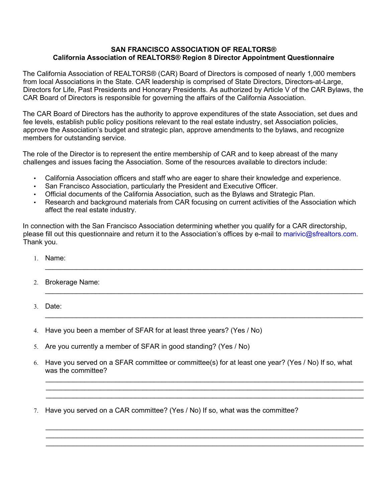## **SAN FRANCISCO ASSOCIATION OF REALTORS® California Association of REALTORS® Region 8 Director Appointment Questionnaire**

The California Association of REALTORS® (CAR) Board of Directors is composed of nearly 1,000 members from local Associations in the State. CAR leadership is comprised of State Directors, Directors-at-Large, Directors for Life, Past Presidents and Honorary Presidents. As authorized by Article V of the CAR Bylaws, the CAR Board of Directors is responsible for governing the affairs of the California Association.

The CAR Board of Directors has the authority to approve expenditures of the state Association, set dues and fee levels, establish public policy positions relevant to the real estate industry, set Association policies, approve the Association's budget and strategic plan, approve amendments to the bylaws, and recognize members for outstanding service.

The role of the Director is to represent the entire membership of CAR and to keep abreast of the many challenges and issues facing the Association. Some of the resources available to directors include:

- California Association officers and staff who are eager to share their knowledge and experience.
- San Francisco Association, particularly the President and Executive Officer.
- Official documents of the California Association, such as the Bylaws and Strategic Plan.
- Research and background materials from CAR focusing on current activities of the Association which affect the real estate industry.

In connection with the San Francisco Association determining whether you qualify for a CAR directorship, please fill out this questionnaire and return it to the Association's offices by e-mail to marivic@sfrealtors.com. Thank you.

 $\_$  , and the set of the set of the set of the set of the set of the set of the set of the set of the set of the set of the set of the set of the set of the set of the set of the set of the set of the set of the set of th

 $\_$  , and the set of the set of the set of the set of the set of the set of the set of the set of the set of the set of the set of the set of the set of the set of the set of the set of the set of the set of the set of th

 $\_$  , and the set of the set of the set of the set of the set of the set of the set of the set of the set of the set of the set of the set of the set of the set of the set of the set of the set of the set of the set of th

- 1. Name:
- 2. Brokerage Name:
- 3. Date:

4. Have you been a member of SFAR for at least three years? (Yes / No)

- 5. Are you currently a member of SFAR in good standing? (Yes / No)
- 6. Have you served on a SFAR committee or committee(s) for at least one year? (Yes / No) If so, what was the committee?

 $\_$  , and the set of the set of the set of the set of the set of the set of the set of the set of the set of the set of the set of the set of the set of the set of the set of the set of the set of the set of the set of th  $\_$  , and the set of the set of the set of the set of the set of the set of the set of the set of the set of the set of the set of the set of the set of the set of the set of the set of the set of the set of the set of th  $\_$  , and the set of the set of the set of the set of the set of the set of the set of the set of the set of the set of the set of the set of the set of the set of the set of the set of the set of the set of the set of th

 $\_$  ,  $\_$  ,  $\_$  ,  $\_$  ,  $\_$  ,  $\_$  ,  $\_$  ,  $\_$  ,  $\_$  ,  $\_$  ,  $\_$  ,  $\_$  ,  $\_$  ,  $\_$  ,  $\_$  ,  $\_$  ,  $\_$  ,  $\_$  ,  $\_$  ,  $\_$  ,  $\_$  ,  $\_$  ,  $\_$  ,  $\_$  ,  $\_$  ,  $\_$  ,  $\_$  ,  $\_$  ,  $\_$  ,  $\_$  ,  $\_$  ,  $\_$  ,  $\_$  ,  $\_$  ,  $\_$  ,  $\_$  ,  $\_$  ,  $\_$  ,  $\_$  ,  $\_$  ,  $\_$  ,  $\_$  ,  $\_$  ,  $\_$  ,  $\_$  ,  $\_$  ,  $\_$  ,  $\_$  ,  $\_$  ,  $\_$  ,  $\_$  ,  $\_$  ,  $\_$  ,  $\_$  ,  $\_$  ,  $\_$  ,  $\_$  ,  $\_$  ,  $\_$  ,  $\_$  ,  $\_$  ,  $\_$  ,  $\_$  ,  $\_$  ,  $\_$  ,  $\_$  ,  $\_$  ,  $\_$  ,  $\_$  ,  $\_$  ,  $\_$  ,  $\_$  ,  $\_$  ,  $\_$  ,  $\_$  , and the set of the set of the set of the set of the set of the set of the set of the set of the set of the set of the set of the set of the set of the set of the set of the set of the set of the set of the set of th

7. Have you served on a CAR committee? (Yes / No) If so, what was the committee?